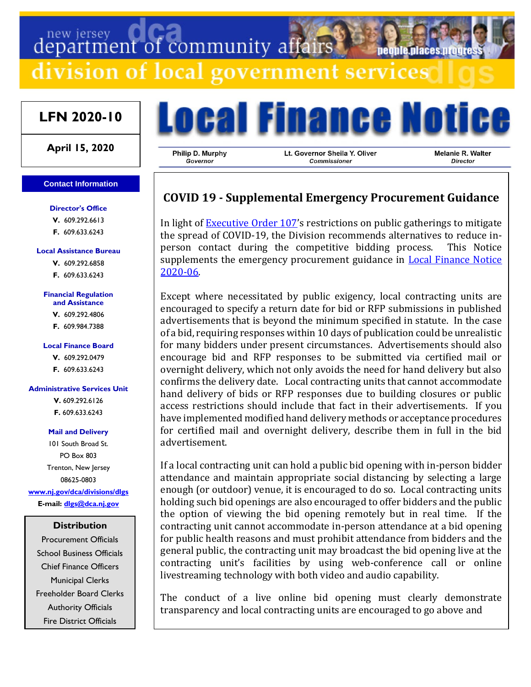# department of community affairs

division of local government services

## **LFN 2020-10**

**April 15, 2020**

#### **Contact Information**

**Director's Office**

**V.** 609.292.6613 **F.** 609.633.6243

#### **Local Assistance Bureau**

**V.** 609.292.6858 **F.** 609.633.6243

#### **Financial Regulation and Assistance**

**V.** 609.292.4806 **F.** 609.984.7388

#### **Local Finance Board**

**V.** 609.292.0479 **F.** 609.633.6243

#### **Administrative Services Unit**

**V.** 609.292.6126 **F.** 609.633.6243

#### **Mail and Delivery**

101 South Broad St. PO Box 803 Trenton, New Jersey 08625-0803 **[www.nj.gov/dca/divisions/dlgs](http://www.nj.gov/dca/divisions/dlgs) E-mail: [dlgs@dca.nj.gov](mailto:dlgs@dca.nj.gov)**

### **Distribution**

Procurement Officials School Business Officials Chief Finance Officers Municipal Clerks Freeholder Board Clerks Authority Officials Fire District Officials



Philip D. Murphy **Governor** 

Lt. Governor Sheila Y. Oliver Commissioner

Melanie R. Walter **Director** 

neonie niaces ni

## **COVID 19 - Supplemental Emergency Procurement Guidance**

In light of **Executive Order 107's** restrictions on public gatherings to mitigate the spread of COVID-19, the Division recommends alternatives to reduce inperson contact during the competitive bidding process. This Notice supplements the emergency procurement guidance in **Local Finance Notice** [2020-06.](https://www.nj.gov/dca/divisions/dlgs/lfns/20/2020-06.pdf)

Except where necessitated by public exigency, local contracting units are encouraged to specify a return date for bid or RFP submissions in published advertisements that is beyond the minimum specified in statute. In the case of a bid, requiring responses within 10 days of publication could be unrealistic for many bidders under present circumstances. Advertisements should also encourage bid and RFP responses to be submitted via certified mail or overnight delivery, which not only avoids the need for hand delivery but also confirms the delivery date. Local contracting units that cannot accommodate hand delivery of bids or RFP responses due to building closures or public access restrictions should include that fact in their advertisements. If you have implemented modified hand delivery methods or acceptance procedures for certified mail and overnight delivery, describe them in full in the bid advertisement.

If a local contracting unit can hold a public bid opening with in-person bidder attendance and maintain appropriate social distancing by selecting a large enough (or outdoor) venue, it is encouraged to do so. Local contracting units holding such bid openings are also encouraged to offer bidders and the public the option of viewing the bid opening remotely but in real time. If the contracting unit cannot accommodate in-person attendance at a bid opening for public health reasons and must prohibit attendance from bidders and the general public, the contracting unit may broadcast the bid opening live at the contracting unit's facilities by using web-conference call or online livestreaming technology with both video and audio capability.

The conduct of a live online bid opening must clearly demonstrate transparency and local contracting units are encouraged to go above and